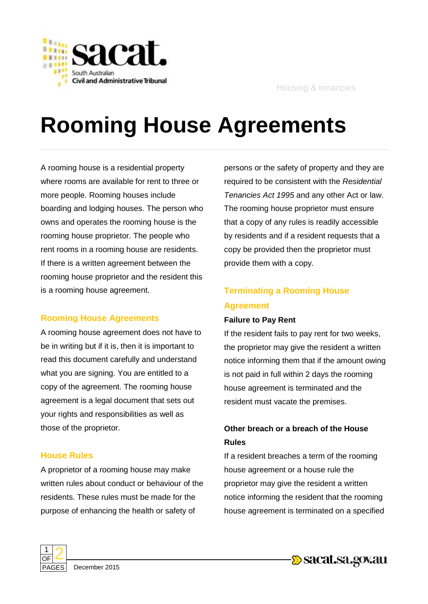

# **Rooming House Agreements**

A rooming house is a residential property where rooms are available for rent to three or more people. Rooming houses include boarding and lodging houses. The person who owns and operates the rooming house is the rooming house proprietor. The people who rent rooms in a rooming house are residents. If there is a written agreement between the rooming house proprietor and the resident this is a rooming house agreement.

## **Rooming House Agreements**

A rooming house agreement does not have to be in writing but if it is, then it is important to read this document carefully and understand what you are signing. You are entitled to a copy of the agreement. The rooming house agreement is a legal document that sets out your rights and responsibilities as well as those of the proprietor.

## **House Rules**

A proprietor of a rooming house may make written rules about conduct or behaviour of the residents. These rules must be made for the purpose of enhancing the health or safety of

persons or the safety of property and they are required to be consistent with the *Residential Tenancies Act 1995* and any other Act or law. The rooming house proprietor must ensure that a copy of any rules is readily accessible by residents and if a resident requests that a copy be provided then the proprietor must provide them with a copy.

# **Terminating a Rooming House Agreement**

## **Failure to Pay Rent**

If the resident fails to pay rent for two weeks, the proprietor may give the resident a written notice informing them that if the amount owing is not paid in full within 2 days the rooming house agreement is terminated and the resident must vacate the premises.

## **Other breach or a breach of the House Rules**

If a resident breaches a term of the rooming house agreement or a house rule the proprietor may give the resident a written notice informing the resident that the rooming house agreement is terminated on a specified